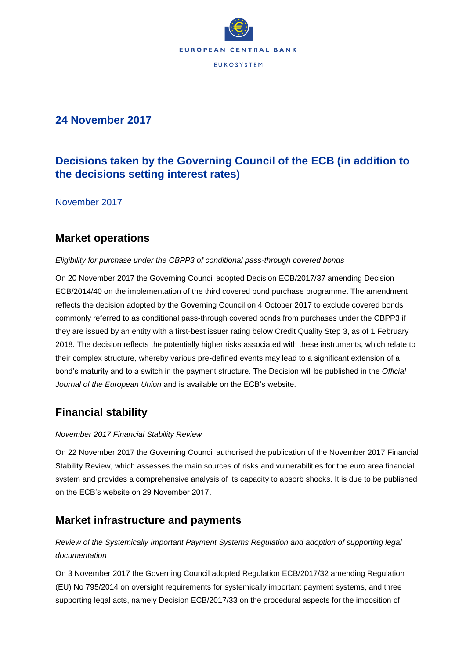

## **24 November 2017**

# **Decisions taken by the Governing Council of the ECB (in addition to the decisions setting interest rates)**

November 2017

## **Market operations**

### *Eligibility for purchase under the CBPP3 of conditional pass-through covered bonds*

On 20 November 2017 the Governing Council adopted Decision ECB/2017/37 amending Decision ECB/2014/40 on the implementation of the third covered bond purchase programme. The amendment reflects the decision adopted by the Governing Council on 4 October 2017 to exclude covered bonds commonly referred to as conditional pass-through covered bonds from purchases under the CBPP3 if they are issued by an entity with a first-best issuer rating below Credit Quality Step 3, as of 1 February 2018. The decision reflects the potentially higher risks associated with these instruments, which relate to their complex structure, whereby various pre-defined events may lead to a significant extension of a bond's maturity and to a switch in the payment structure. The Decision will be published in the *Official Journal of the European Union* and is available on the ECB's website.

# **Financial stability**

### *November 2017 Financial Stability Review*

On 22 November 2017 the Governing Council authorised the publication of the November 2017 Financial Stability Review, which assesses the main sources of risks and vulnerabilities for the euro area financial system and provides a comprehensive analysis of its capacity to absorb shocks. It is due to be published on the ECB's website on 29 November 2017.

### **Market infrastructure and payments**

### *Review of the Systemically Important Payment Systems Regulation and adoption of supporting legal documentation*

On 3 November 2017 the Governing Council adopted Regulation ECB/2017/32 amending Regulation (EU) No 795/2014 on oversight requirements for systemically important payment systems, and three supporting legal acts, namely Decision ECB/2017/33 on the procedural aspects for the imposition of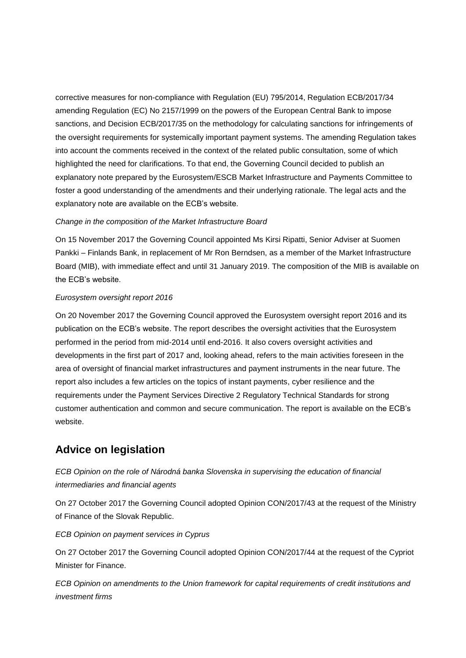corrective measures for non-compliance with Regulation (EU) 795/2014, Regulation ECB/2017/34 amending Regulation (EC) No 2157/1999 on the powers of the European Central Bank to impose sanctions, and Decision ECB/2017/35 on the methodology for calculating sanctions for infringements of the oversight requirements for systemically important payment systems. The amending Regulation takes into account the comments received in the context of the related public consultation, some of which highlighted the need for clarifications. To that end, the Governing Council decided to publish an explanatory note prepared by the Eurosystem/ESCB Market Infrastructure and Payments Committee to foster a good understanding of the amendments and their underlying rationale. The legal acts and the explanatory note are available on the ECB's website.

#### *Change in the composition of the Market Infrastructure Board*

On 15 November 2017 the Governing Council appointed Ms Kirsi Ripatti, Senior Adviser at Suomen Pankki – Finlands Bank, in replacement of Mr Ron Berndsen, as a member of the Market Infrastructure Board (MIB), with immediate effect and until 31 January 2019. The composition of the MIB is available on the ECB's website.

#### *Eurosystem oversight report 2016*

On 20 November 2017 the Governing Council approved the Eurosystem oversight report 2016 and its publication on the ECB's website. The report describes the oversight activities that the Eurosystem performed in the period from mid-2014 until end-2016. It also covers oversight activities and developments in the first part of 2017 and, looking ahead, refers to the main activities foreseen in the area of oversight of financial market infrastructures and payment instruments in the near future. The report also includes a few articles on the topics of instant payments, cyber resilience and the requirements under the Payment Services Directive 2 Regulatory Technical Standards for strong customer authentication and common and secure communication. The report is available on the ECB's website.

### **Advice on legislation**

*ECB Opinion on the role of Národná banka Slovenska in supervising the education of financial intermediaries and financial agents*

On 27 October 2017 the Governing Council adopted Opinion CON/2017/43 at the request of the Ministry of Finance of the Slovak Republic.

*ECB Opinion on payment services in Cyprus*

On 27 October 2017 the Governing Council adopted Opinion CON/2017/44 at the request of the Cypriot Minister for Finance.

*ECB Opinion on amendments to the Union framework for capital requirements of credit institutions and investment firms*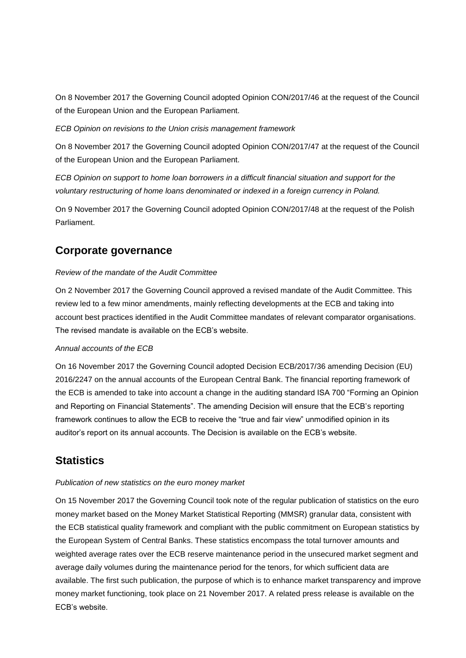On 8 November 2017 the Governing Council adopted Opinion CON/2017/46 at the request of the Council of the European Union and the European Parliament.

*ECB Opinion on revisions to the Union crisis management framework*

On 8 November 2017 the Governing Council adopted Opinion CON/2017/47 at the request of the Council of the European Union and the European Parliament.

*ECB Opinion on support to home loan borrowers in a difficult financial situation and support for the voluntary restructuring of home loans denominated or indexed in a foreign currency in Poland.*

On 9 November 2017 the Governing Council adopted Opinion CON/2017/48 at the request of the Polish Parliament.

## **Corporate governance**

#### *Review of the mandate of the Audit Committee*

On 2 November 2017 the Governing Council approved a revised mandate of the Audit Committee. This review led to a few minor amendments, mainly reflecting developments at the ECB and taking into account best practices identified in the Audit Committee mandates of relevant comparator organisations. The revised mandate is available on the ECB's website.

#### *Annual accounts of the ECB*

On 16 November 2017 the Governing Council adopted Decision ECB/2017/36 amending Decision (EU) 2016/2247 on the annual accounts of the European Central Bank. The financial reporting framework of the ECB is amended to take into account a change in the auditing standard ISA 700 "Forming an Opinion and Reporting on Financial Statements". The amending Decision will ensure that the ECB's reporting framework continues to allow the ECB to receive the "true and fair view" unmodified opinion in its auditor's report on its annual accounts. The Decision is available on the ECB's website.

### **Statistics**

#### *Publication of new statistics on the euro money market*

On 15 November 2017 the Governing Council took note of the regular publication of statistics on the euro money market based on the Money Market Statistical Reporting (MMSR) granular data, consistent with the ECB statistical quality framework and compliant with the public commitment on European statistics by the European System of Central Banks. These statistics encompass the total turnover amounts and weighted average rates over the ECB reserve maintenance period in the unsecured market segment and average daily volumes during the maintenance period for the tenors, for which sufficient data are available. The first such publication, the purpose of which is to enhance market transparency and improve money market functioning, took place on 21 November 2017. A related press release is available on the ECB's website.